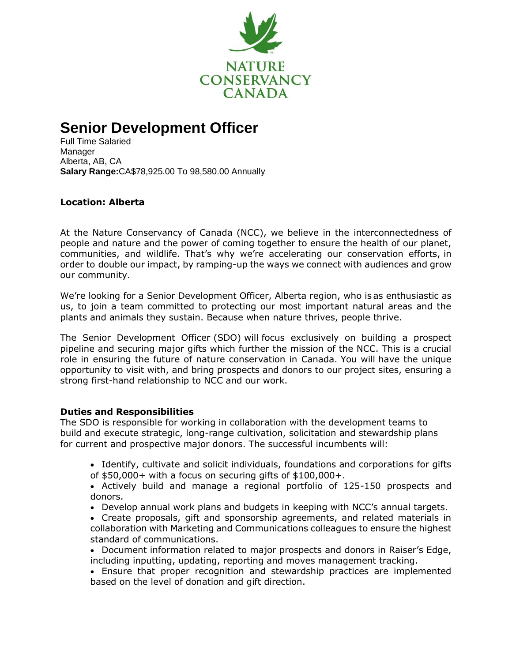

# **Senior Development Officer**

Full Time Salaried Manager Alberta, AB, CA **Salary Range:**CA\$78,925.00 To 98,580.00 Annually

## **Location: Alberta**

At the Nature Conservancy of Canada (NCC), we believe in the interconnectedness of people and nature and the power of coming together to ensure the health of our planet, communities, and wildlife.  That's why we're accelerating our conservation efforts, in order to double our impact, by ramping-up the ways we connect with audiences and grow our community.

We're looking for a Senior Development Officer, Alberta region, who is as enthusiastic as us, to join a team committed to protecting our most important natural areas and the plants and animals they sustain. Because when nature thrives, people thrive.

The Senior Development Officer (SDO) will focus exclusively on building a prospect pipeline and securing major gifts which further the mission of the NCC. This is a crucial role in ensuring the future of nature conservation in Canada. You will have the unique opportunity to visit with, and bring prospects and donors to our project sites, ensuring a strong first-hand relationship to NCC and our work.

#### **Duties and Responsibilities**

The SDO is responsible for working in collaboration with the development teams to build and execute strategic, long-range cultivation, solicitation and stewardship plans for current and prospective major donors. The successful incumbents will:

- Identify, cultivate and solicit individuals, foundations and corporations for gifts of  $$50,000+$  with a focus on securing gifts of  $$100,000+$ .
- Actively build and manage a regional portfolio of 125-150 prospects and donors.
- Develop annual work plans and budgets in keeping with NCC's annual targets.
- Create proposals, gift and sponsorship agreements, and related materials in collaboration with Marketing and Communications colleagues to ensure the highest standard of communications.
- Document information related to major prospects and donors in Raiser's Edge, including inputting, updating, reporting and moves management tracking.

• Ensure that proper recognition and stewardship practices are implemented based on the level of donation and gift direction.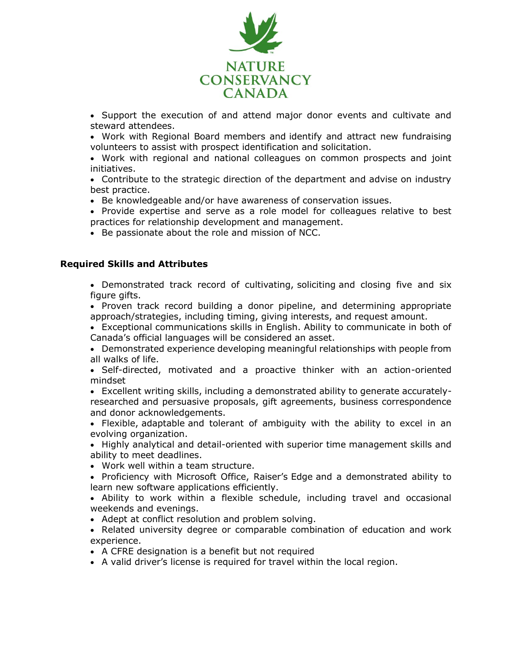

• Support the execution of and attend major donor events and cultivate and steward attendees.

• Work with Regional Board members and identify and attract new fundraising volunteers to assist with prospect identification and solicitation.

• Work with regional and national colleagues on common prospects and joint initiatives.

• Contribute to the strategic direction of the department and advise on industry best practice.

• Be knowledgeable and/or have awareness of conservation issues.

• Provide expertise and serve as a role model for colleagues relative to best practices for relationship development and management.

• Be passionate about the role and mission of NCC.

#### **Required Skills and Attributes**

• Demonstrated track record of cultivating, soliciting and closing five and six figure gifts.

• Proven track record building a donor pipeline, and determining appropriate approach/strategies, including timing, giving interests, and request amount.

• Exceptional communications skills in English. Ability to communicate in both of Canada's official languages will be considered an asset.

• Demonstrated experience developing meaningful relationships with people from all walks of life.

• Self-directed, motivated and a proactive thinker with an action-oriented mindset

• Excellent writing skills, including a demonstrated ability to generate accuratelyresearched and persuasive proposals, gift agreements, business correspondence and donor acknowledgements.

• Flexible, adaptable and tolerant of ambiguity with the ability to excel in an evolving organization.

• Highly analytical and detail-oriented with superior time management skills and ability to meet deadlines.

• Work well within a team structure.

• Proficiency with Microsoft Office, Raiser's Edge and a demonstrated ability to learn new software applications efficiently.

• Ability to work within a flexible schedule, including travel and occasional weekends and evenings.

• Adept at conflict resolution and problem solving.

• Related university degree or comparable combination of education and work experience.

• A CFRE designation is a benefit but not required

• A valid driver's license is required for travel within the local region.